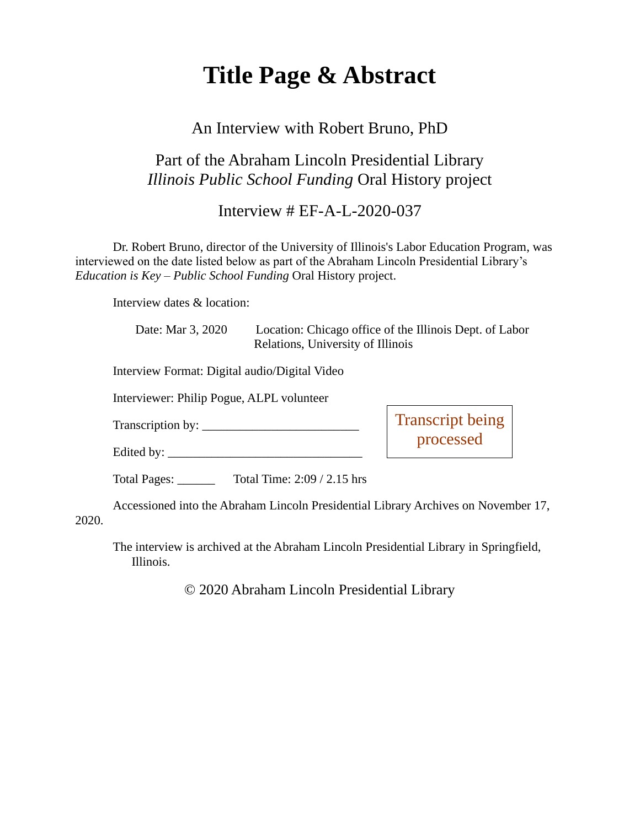# **Title Page & Abstract**

### An Interview with Robert Bruno, PhD

## Part of the Abraham Lincoln Presidential Library *Illinois Public School Funding* Oral History project

Interview # EF-A-L-2020-037

Dr. Robert Bruno, director of the University of Illinois's Labor Education Program, was interviewed on the date listed below as part of the Abraham Lincoln Presidential Library's *Education is Key – Public School Funding* Oral History project.

Interview dates & location:

Date: Mar 3, 2020 Location: Chicago office of the Illinois Dept. of Labor Relations, University of Illinois

Interview Format: Digital audio/Digital Video

Interviewer: Philip Pogue, ALPL volunteer

Transcription by: \_\_\_\_\_\_\_\_\_\_\_\_\_\_\_\_\_\_\_\_\_\_\_\_\_

Edited by:

Transcript being processed

Total Pages: \_\_\_\_\_\_ Total Time: 2:09 / 2.15 hrs

Accessioned into the Abraham Lincoln Presidential Library Archives on November 17, 2020.

The interview is archived at the Abraham Lincoln Presidential Library in Springfield, Illinois.

© 2020 Abraham Lincoln Presidential Library